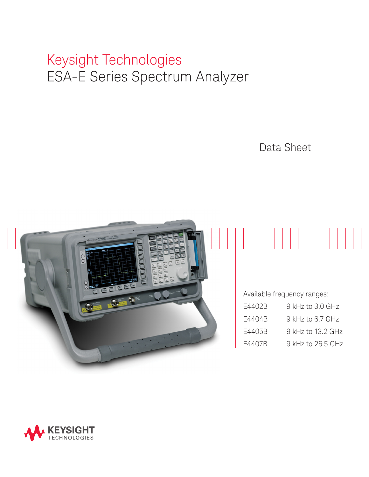# Keysight Technologies ESA-E Series Spectrum Analyzer



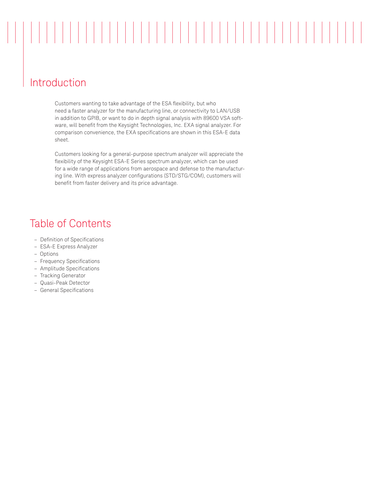# 

# Introduction

Customers wanting to take advantage of the ESA flexibility, but who need a faster analyzer for the manufacturing line, or connectivity to LAN/USB in addition to GPIB, or want to do in depth signal analysis with 89600 VSA software, will benefit from the Keysight Technologies, Inc. EXA signal analyzer. For comparison convenience, the EXA specifications are shown in this ESA-E data sheet.

Customers looking for a general-purpose spectrum analyzer will appreciate the flexibility of the Keysight ESA-E Series spectrum analyzer, which can be used for a wide range of applications from aerospace and defense to the manufacturing line. With express analyzer configurations (STD/STG/COM), customers will benefit from faster delivery and its price advantage.

# Table of Contents

- Definition of Specifications
- ESA-E Express Analyzer
- Options
- Frequency Specifications
- Amplitude Specifications
- Tracking Generator
- Quasi-Peak Detector
- General Specifications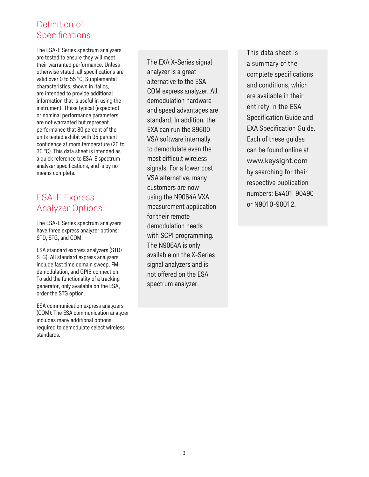### Definition of **Specifications**

The ESA-E Series spectrum analyzers are tested to ensure they will meet their warranted performance. Unless otherwise stated, all specifications are valid over 0 to 55 °C. Supplemental characteristics, shown in italics, are intended to provide additional information that is useful in using the instrument. These typical (expected) or nominal performance parameters are not warranted but represent performance that 80 percent of the units tested exhibit with 95 percent confidence at room temperature (20 to 30 °C). This data sheet is intended as a quick reference to ESA-E spectrum analyzer specifications, and is by no means complete.

## ESA-E Express Analyzer Options

The ESA-E Series spectrum analyzers have three express analyzer options: STD, STG, and COM.

ESA standard express analyzers (STD/ STG): All standard express analyzers include fast time domain sweep, FM demodulation, and GPIB connection. To add the functionality of a tracking generator, only available on the ESA, order the STG option.

ESA communication express analyzers (COM): The ESA communication analyzer includes many additional options required to demodulate select wireless standards.

The EXA X-Series signal analyzer is a great alternative to the ESA-COM express analyzer. All demodulation hardware and speed advantages are standard. In addition, the EXA can run the 89600 VSA software internally to demodulate even the most difficult wireless signals. For a lower cost VSA alternative, many customers are now using the N9064A VXA measurement application for their remote demodulation needs with SCPI programming. The N9064A is only available on the X-Series signal analyzers and is not offered on the ESA spectrum analyzer.

This data sheet is a summary of the complete specifications and conditions, which are available in their entirety in the ESA Specification Guide and EXA Specification Guide. Each of these guides can be found online at www.keysight.com by searching for their respective publication numbers: E4401-90490 or N9010-90012.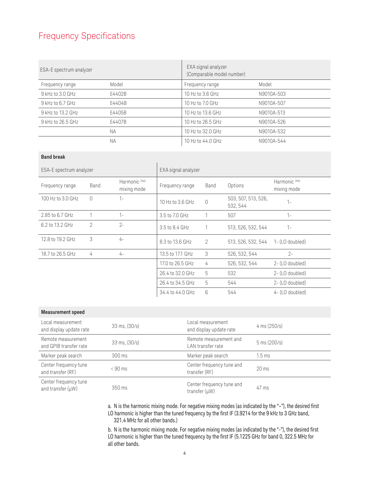# Frequency Specifications

| ESA-E spectrum analyzer |           | EXA signal analyzer<br>(Comparable model number) |            |
|-------------------------|-----------|--------------------------------------------------|------------|
| Frequency range         | Model     | Frequency range                                  | Model      |
| 9 kHz to 3.0 GHz        | F4402B    | 10 Hz to 3.6 GHz                                 | N9010A-503 |
| 9 kHz to 6.7 GHz        | F4404B    | 10 Hz to 7.0 GHz                                 | N9010A-507 |
| 9 kHz to 13.2 GHz       | F4405B    | 10 Hz to 13.6 GHz                                | N9010A-513 |
| 9 kHz to 26.5 GHz       | F4407B    | 10 Hz to 26.5 GHz                                | N9010A-526 |
|                         | <b>NA</b> | 10 Hz to 32.0 GHz                                | N9010A-532 |
|                         | <b>NA</b> | 10 Hz to 44.0 GHz                                | N9010A-544 |

#### **Band break**

| ESA-E spectrum analyzer |                | EXA signal analyzer                     |                  |             |                                 |                                         |
|-------------------------|----------------|-----------------------------------------|------------------|-------------|---------------------------------|-----------------------------------------|
| Frequency range         | Band           | Harmonic <sup>(Na)</sup><br>mixing mode | Frequency range  | <b>Band</b> | Options                         | Harmonic <sup>(Nb)</sup><br>mixing mode |
| 100 Hz to 3.0 GHz       | $\bigcap$      | $1 -$                                   | 10 Hz to 3.6 GHz | $\Omega$    | 503, 507, 513, 526,<br>532, 544 | $1 -$                                   |
| 2.85 to 6.7 GHz         |                | $1 -$                                   | 3.5 to 7.0 GHz   |             | 507                             | $1-$                                    |
| 6.2 to 13.2 GHz         | $\overline{2}$ | $2 -$                                   | 3.5 to 8.4 GHz   |             | 513, 526, 532, 544              | $1 -$                                   |
| 12.8 to 19.2 GHz        | 3              | $4-$                                    | 8.3 to 13.6 GHz  | 2           | 513, 526, 532, 544              | 1- (LO doubled)                         |
| 18.7 to 26.5 GHz        | 4              | $4-$                                    | 13.5 to 17.1 GHz | 3           | 526, 532, 544                   | $2 -$                                   |
|                         |                |                                         | 17.0 to 26.5 GHz | 4           | 526, 532, 544                   | 2- (LO doubled)                         |
|                         |                |                                         | 26.4 to 32.0 GHz | 5           | 532                             | 2- (LO doubled)                         |
|                         |                |                                         | 26.4 to 34.5 GHz | 5           | 544                             | 2- (LO doubled)                         |
|                         |                |                                         | 34.4 to 44.0 GHz | 6           | 544                             | 4- (LO doubled)                         |

#### **Measurement speed**

| Local measurement<br>and display update rate | $33 \text{ ms}, (30/s)$ | Local measurement<br>and display update rate    | 4 ms $(250/s)$                 |
|----------------------------------------------|-------------------------|-------------------------------------------------|--------------------------------|
| Remote measurement<br>and GPIB transfer rate | $33 \text{ ms}, (30/s)$ | Remote measurement and<br>LAN transfer rate     | $5 \text{ ms} (200 \text{/s})$ |
| Marker peak search                           | 300 ms                  | Marker peak search                              | $1.5 \text{ ms}$               |
| Center frequency tune<br>and transfer (RF)   | $\leq 90$ ms            | Center frequency tune and<br>transfer (RF)      | $20 \text{ ms}$                |
| Center frequency tune<br>and transfer (µW)   | 350 ms                  | Center frequency tune and<br>transfer $(\mu W)$ | $47 \text{ ms}$                |

a. N is the harmonic mixing mode. For negative mixing modes (as indicated by the "–"), the desired first LO harmonic is higher than the tuned frequency by the first IF (3.9214 for the 9 kHz to 3 GHz band, 321.4 MHz for all other bands.)

b. N is the harmonic mixing mode. For negative mixing modes (as indicated by the "-"), the desired first LO harmonic is higher than the tuned frequency by the first IF (5.1225 GHz for band 0, 322.5 MHz for all other bands.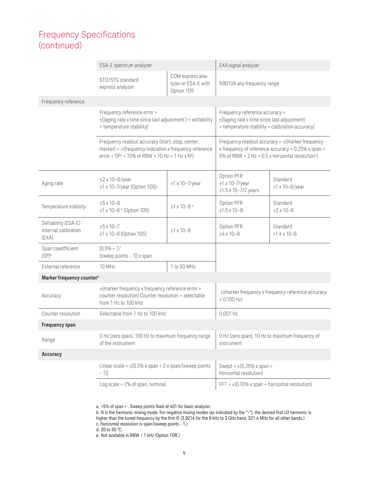|                                                      | ESA-E spectrum analyzer                                                                                                                                                          |                                                       | EXA signal analyzer                                                                                                              |                                                                                                            |
|------------------------------------------------------|----------------------------------------------------------------------------------------------------------------------------------------------------------------------------------|-------------------------------------------------------|----------------------------------------------------------------------------------------------------------------------------------|------------------------------------------------------------------------------------------------------------|
|                                                      | STD/STG standard<br>express analyzer                                                                                                                                             | COM express ana-<br>lyzer or ESA-E with<br>Option 1D5 | N9010A any frequency range                                                                                                       |                                                                                                            |
| Frequency reference                                  |                                                                                                                                                                                  |                                                       |                                                                                                                                  |                                                                                                            |
|                                                      | Frequency reference error =<br>$\pm$ [(aging rate x time since last adjustment) + settability<br>+ temperature stability]                                                        |                                                       | Frequency reference accuracy =<br>±[(aging rate x time since last adjustment)<br>+ temperature stability + calibration accuracy] |                                                                                                            |
|                                                      | Frequency readout accuracy (start, stop, center,<br>marker) = $\pm$ (frequency indication x frequency reference<br>error + $SP^a$ + 15% of RBW + 10 Hz + 1 Hz x N <sup>b</sup> ) |                                                       | 5% of RBW + 2 Hz + 0.5 x horizontal resolution <sup>c</sup> )                                                                    | Frequency readout accuracy = $\pm$ (marker frequency<br>x frequency of reference accuracy + 0.25% x span + |
| Aging rate                                           | $±2$ x 10-6/year<br>$±1$ x 10-7/year (Option 1D5)                                                                                                                                | $±1$ x 10-7/year                                      | Option PFR<br>$±1$ x 10-7/year<br>$±1.5 \times 10-7/2$ years                                                                     | Standard<br>$±1$ x 10-6/year                                                                               |
| Temperature stability                                | $±5 \times 10-6$<br>±1 x 10-8 d (Option 1D5)                                                                                                                                     | $±1$ x 10-8 <sup>d</sup>                              | Option PFR<br>$±1.5 \times 10-8$                                                                                                 | Standard<br>$±2 \times 10-6$                                                                               |
| Settability (ESA-E)<br>Internal calibration<br>(EXA) | $±5 \times 10-7$<br>±1 x 10-8 (Option 1D5)                                                                                                                                       | $±1 \times 10-8$                                      | Option PFR<br>$±4 \times 10-8$                                                                                                   | Standard<br>$±1.4 \times 10-6$                                                                             |
| Span coedfficient<br>$(SP)^a$                        | $[0.5% + 1/$<br>(sweep points - 1)] x span                                                                                                                                       |                                                       |                                                                                                                                  |                                                                                                            |
| External reference                                   | 10 MHz                                                                                                                                                                           | 1 to 30 MHz                                           |                                                                                                                                  |                                                                                                            |
| Marker frequency counter <sup>e</sup>                |                                                                                                                                                                                  |                                                       |                                                                                                                                  |                                                                                                            |
| Accuracy                                             | ±(marker frequency x frequency reference error +<br>counter resolution) Counter resolution = selectable<br>from 1 Hz to 100 kHz                                                  |                                                       | $+0.100$ Hz)                                                                                                                     | $\pm$ (marker frequency x frequency reference accuracy                                                     |
| Counter resolution                                   | Selectable from 1 Hz to 100 kHz                                                                                                                                                  |                                                       | $0.001$ Hz                                                                                                                       |                                                                                                            |
| <b>Frequency span</b>                                |                                                                                                                                                                                  |                                                       |                                                                                                                                  |                                                                                                            |
| Range                                                | 0 Hz (zero span), 100 Hz to maximum frequency range<br>of the instrument                                                                                                         |                                                       | instrument                                                                                                                       | 0 Hz (zero span), 10 Hz to maximum frequency of                                                            |
| Accuracy                                             |                                                                                                                                                                                  |                                                       |                                                                                                                                  |                                                                                                            |
|                                                      | Linear scale = $\pm$ [0.5% x span + 2 x span/(sweep points<br>$-1$ ]                                                                                                             |                                                       | Swept = $\pm$ (0.25% x span +<br>horizontal resolution)                                                                          |                                                                                                            |
|                                                      | Log scale = $2\%$ of span, nominal                                                                                                                                               |                                                       | FFT = $\pm$ (0.10% x span + horizontal resolution)                                                                               |                                                                                                            |

a. +5% of span + . Sweep points fixed at 401 for basic analyzer.

b. N is the harmonic mixing mode. For negative mixing modes (as indicated by the "–"), the desired first LO harmonic is higher than the tuned frequency by the first IF (3.9214 for the 9 kHz to 3 GHz band, 321.4 MHz for all other bands.) c. Horizontal resolution is span/(sweep points - 1.)

d. 20 to 30 °C.

e. Not available in RBW < 1 kHz (Option 1DR.)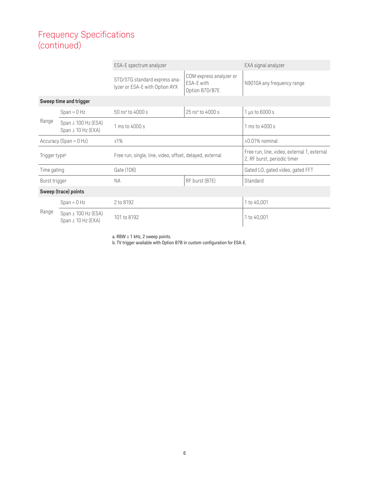|               | ESA-E spectrum analyzer                                                               |                                                                 | EXA signal analyzer                                     |                                                                            |
|---------------|---------------------------------------------------------------------------------------|-----------------------------------------------------------------|---------------------------------------------------------|----------------------------------------------------------------------------|
|               |                                                                                       | STD/STG standard express ana-<br>lyzer or ESA-E with Option AYX | COM express analyzer or<br>ESA-E with<br>Option B7D/B7E | N9010A any frequency range                                                 |
|               | Sweep time and trigger                                                                |                                                                 |                                                         |                                                                            |
|               | $Span = 0 Hz$                                                                         | 50 nsª to 4000 s                                                | 25 nsª to 4000 s                                        | $1 \mu s$ to 6000 s                                                        |
| Range         | Span $\geq$ 100 Hz (ESA)<br>Span $\geq$ 10 Hz (EXA)                                   | 1 ms to 4000 s                                                  |                                                         | 1 ms to 4000 s                                                             |
|               | Accuracy (Span = 0 Hz)<br>±1%                                                         |                                                                 | $\pm 0.01\%$ nominal                                    |                                                                            |
|               | Free run, single, line, video, offset, delayed, external<br>Trigger type <sup>b</sup> |                                                                 |                                                         | Free run, line, video, external 1, external<br>2, RF burst, periodic timer |
| Time gating   |                                                                                       | Gate (1D6)                                                      |                                                         | Gated LO, gated video, gated FFT                                           |
| Burst trigger |                                                                                       | <b>NA</b>                                                       | RF burst (B7E)                                          | Standard                                                                   |
|               | Sweep (trace) points                                                                  |                                                                 |                                                         |                                                                            |
|               | $Span = 0 Hz$                                                                         | 2 to 8192                                                       |                                                         | 1 to 40,001                                                                |
| Range         | Span $\geq$ 100 Hz (ESA)<br>Span $\geq$ 10 Hz (EXA)                                   | 101 to 8192                                                     |                                                         | 1 to 40,001                                                                |

a. RBW ≥ 1 kHz, 2 sweep points.

b. TV trigger available with Option B7B in custom configuration for ESA-E.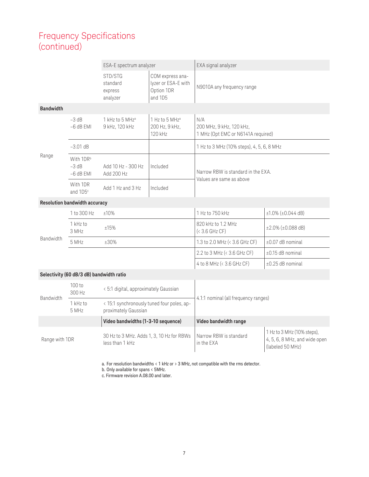|                  |                                      | ESA-E spectrum analyzer                       |                                                                  | EXA signal analyzer                                                   |
|------------------|--------------------------------------|-----------------------------------------------|------------------------------------------------------------------|-----------------------------------------------------------------------|
|                  |                                      | STD/STG<br>standard<br>express<br>analyzer    | COM express ana-<br>lyzer or ESA-E with<br>Option 1DR<br>and 1D5 | N9010A any frequency range                                            |
| <b>Bandwidth</b> |                                      |                                               |                                                                  |                                                                       |
|                  | $-3 dB$<br>$-6$ dB EMI               | 1 kHz to 5 MHz <sup>a</sup><br>9 kHz, 120 kHz | 1 Hz to 5 MHz <sup>a</sup><br>200 Hz, 9 kHz,<br>120 kHz          | N/A<br>200 MHz, 9 kHz, 120 kHz,<br>1 MHz (Opt EMC or N6141A required) |
|                  | $-3.01$ dB                           |                                               |                                                                  | 1 Hz to 3 MHz (10% steps), 4, 5, 6, 8 MHz                             |
| Range            | With 1DRb<br>$-3$ dB<br>$-6$ dB EMI  | Add 10 Hz - 300 Hz<br>Add 200 Hz              | Included                                                         | Narrow RBW is standard in the EXA.                                    |
|                  | With 1DR<br>and 1D5 <sup>c</sup>     | Add $1$ Hz and $3$ Hz                         | Included                                                         | Values are same as above                                              |
|                  | <b>Resolution bandwidth accuracy</b> |                                               |                                                                  |                                                                       |
|                  |                                      |                                               |                                                                  |                                                                       |

|                  | 1 to 300 Hz       | ±10% | 1 Hz to 750 kHz                      | $\pm 1.0\%$ ( $\pm 0.044$ dB) |
|------------------|-------------------|------|--------------------------------------|-------------------------------|
|                  | 1 kHz to<br>3 MHz | ±15% | 820 kHz to 1.2 MHz<br>$(3.6 GHz CF)$ | $\pm 2.0\%$ ( $\pm 0.088$ dB) |
| <b>Bandwidth</b> | 5 MHz             | ±30% | 1.3 to 2.0 MHz $(< 3.6$ GHz CF)      | $\pm 0.07$ dB nominal         |
|                  |                   |      | 2.2 to 3 MHz $(< 3.6$ GHz CF)        | $\pm 0.15$ dB nominal         |
|                  |                   |      | 4 to 8 MHz $(< 3.6$ GHz CF)          | $\pm 0.25$ dB nominal         |

#### **Selectivity (60 dB/3 dB) bandwidth ratio**

| <b>Bandwidth</b> | 100 to<br>300 Hz    | < 5:1 digital, approximately Gaussian                              |                                      |                                                                                   |
|------------------|---------------------|--------------------------------------------------------------------|--------------------------------------|-----------------------------------------------------------------------------------|
|                  | $1$ kHz to<br>5 MHz | < 15:1 synchronously tuned four poles, ap-<br>proximately Gaussian | 4.1:1 nominal (all frequency ranges) |                                                                                   |
|                  |                     | Video bandwidths (1-3-10 sequence)                                 | Video bandwidth range                |                                                                                   |
| Range with 1DR   |                     | 30 Hz to 3 MHz. Adds 1, 3, 10 Hz for RBWs<br>less than 1 kHz       | Narrow RBW is standard<br>in the EXA | 1 Hz to 3 MHz (10% steps),<br>$4, 5, 6, 8$ MHz, and wide open<br>(labeled 50 MHz) |

a. For resolution bandwidths < 1 kHz or > 3 MHz, not compatible with the rms detector.

b. Only available for spans < 5MHz.

c. Firmware revision A.08.00 and later.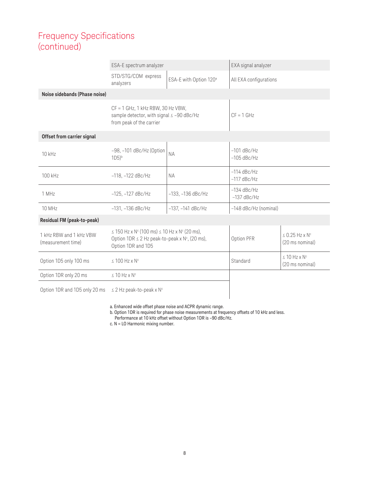|                                               | ESA-E spectrum analyzer                                                                                                                                    |                                    | EXA signal analyzer            |                                                    |
|-----------------------------------------------|------------------------------------------------------------------------------------------------------------------------------------------------------------|------------------------------------|--------------------------------|----------------------------------------------------|
|                                               | STD/STG/COM express<br>analyzers                                                                                                                           | ESA-E with Option 120 <sup>a</sup> | All EXA configurations         |                                                    |
| Noise sidebands (Phase noise)                 |                                                                                                                                                            |                                    |                                |                                                    |
|                                               | $CF = 1$ GHz, 1 kHz RBW, 30 Hz VBW,<br>sample detector, with signal ≤ -90 dBc/Hz<br>from peak of the carrier                                               |                                    | $CF = 1$ GHz                   |                                                    |
| Offset from carrier signal                    |                                                                                                                                                            |                                    |                                |                                                    |
| $10$ kHz                                      | $-98$ , $-101$ dBc/Hz (Option<br>$1D5$ <sup>b</sup>                                                                                                        | <b>NA</b>                          | $-101$ dBc/Hz<br>$-105$ dBc/Hz |                                                    |
| 100 kHz                                       | $-118, -122$ dBc/Hz                                                                                                                                        | <b>NA</b>                          | $-114$ dBc/Hz<br>$-117$ dBc/Hz |                                                    |
| 1 MHz                                         | $-134$ dBc/Hz<br>$-125, -127$ dBc/Hz<br>$-133, -136$ dBc/Hz<br>$-137$ dBc/Hz                                                                               |                                    |                                |                                                    |
| 10 MHz                                        | $-131, -136$ dBc/Hz<br>$-137, -141$ dBc/Hz                                                                                                                 |                                    | -148 dBc/Hz (nominal)          |                                                    |
| Residual FM (peak-to-peak)                    |                                                                                                                                                            |                                    |                                |                                                    |
| 1 kHz RBW and 1 kHz VBW<br>(measurement time) | $\leq$ 150 Hz x N <sup>c</sup> (100 ms) $\leq$ 10 Hz x N <sup>c</sup> (20 ms),<br>Option 1DR $\leq$ 2 Hz peak-to-peak x N°, (20 ms),<br>Option 1DR and 1D5 |                                    | Option PFR                     | $\leq$ 0.25 Hz x N <sup>c</sup><br>(20 ms nominal) |
| Option 1D5 only 100 ms                        | $\leq$ 100 Hz x N <sup>c</sup>                                                                                                                             |                                    | Standard                       | $\leq 10$ Hz x N <sup>c</sup><br>(20 ms nominal)   |
| Option 1DR only 20 ms                         | $\leq$ 10 Hz x N <sup>c</sup>                                                                                                                              |                                    |                                |                                                    |
| Option 1DR and 1D5 only 20 ms                 | $\leq$ 2 Hz peak-to-peak x N <sup>c</sup>                                                                                                                  |                                    |                                |                                                    |

a. Enhanced wide offset phase noise and ACPR dynamic range.

b. Option 1DR is required for phase noise measurements at frequency offsets of 10 kHz and less.

Performance at 10 kHz offset without Option 1DR is -90 dBc/Hz.

c. N = LO Harmonic mixing number.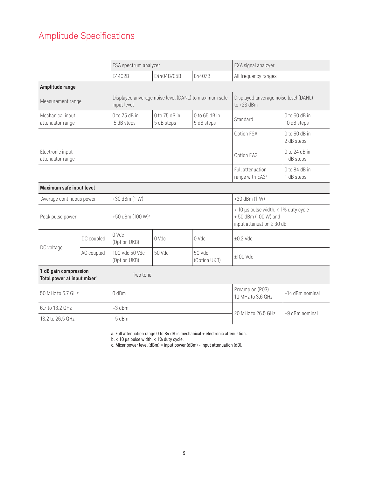# Amplitude Specifications

|                                                                  |                  | ESA spectrum analyzer                                                |                             | EXA signal analzyer                  |                                                                                               |                                |
|------------------------------------------------------------------|------------------|----------------------------------------------------------------------|-----------------------------|--------------------------------------|-----------------------------------------------------------------------------------------------|--------------------------------|
|                                                                  |                  | F4402B                                                               | E4404B/05B                  | E4407B                               | All frequency ranges                                                                          |                                |
| Amplitude range                                                  |                  |                                                                      |                             |                                      |                                                                                               |                                |
| Measurement range                                                |                  | Displayed anverage noise level (DANL) to maximum safe<br>input level |                             |                                      | Displayed anverage noise level (DANL)<br>to $+23$ dBm                                         |                                |
| Mechanical input<br>attenuator range                             |                  | 0 to 75 dB in<br>5 dB steps                                          | 0 to 75 dB in<br>5 dB steps | $0$ to 65 dB in<br>5 dB steps        | Standard                                                                                      | $0$ to 60 dB in<br>10 dB steps |
|                                                                  |                  |                                                                      |                             |                                      |                                                                                               | $0$ to 60 dB in<br>2 dB steps  |
| Electronic input<br>attenuator range                             |                  |                                                                      |                             |                                      | Option EA3                                                                                    | $0$ to 24 dB in<br>1 dB steps  |
|                                                                  |                  |                                                                      |                             |                                      | Full attenuation<br>range with EA3 <sup>a</sup>                                               | $0$ to 84 dB in<br>1 dB steps  |
| Maximum safe input level                                         |                  |                                                                      |                             |                                      |                                                                                               |                                |
| Average continuous power                                         |                  | +30 dBm (1 W)                                                        |                             |                                      | +30 dBm (1 W)                                                                                 |                                |
| Peak pulse power                                                 |                  | +50 dBm (100 W) <sup>b</sup>                                         |                             |                                      | < 10 µs pulse width, < 1% duty cycle<br>+50 dBm (100 W) and<br>input attenuation $\geq 30$ dB |                                |
|                                                                  | DC coupled       | 0 Vdc<br>(Option UKB)                                                | U Nqc                       | O Vdc                                | $±0.2$ Vdc                                                                                    |                                |
| DC voltage                                                       | AC coupled       | 100 Vdc 50 Vdc<br>(Option UKB)                                       | 50 Vdc                      | 50 Vdc<br>(Option UKB)               | $±100$ Vdc                                                                                    |                                |
| 1 dB gain compression<br>Total power at input mixer <sup>c</sup> |                  | Two tone                                                             |                             |                                      |                                                                                               |                                |
| 50 MHz to 6.7 GHz                                                | 0 <sub>dBm</sub> |                                                                      |                             | Preamp on (P03)<br>10 MHz to 3.6 GHz | -14 dBm nominal                                                                               |                                |
| 6.7 to 13.2 GHz                                                  |                  | $-3$ dBm                                                             |                             |                                      | 20 MHz to 26.5 GHz                                                                            | +9 dBm nominal                 |
| 13.2 to 26.5 GHz<br>$-5$ dBm                                     |                  |                                                                      |                             |                                      |                                                                                               |                                |

a. Full attenuation range 0 to 84 dB is mechanical + electronic attenuation.

b. < 10 µs pulse width, < 1% duty cycle.

c. Mixer power level (dBm) = input power (dBm) - input attenuation (dB).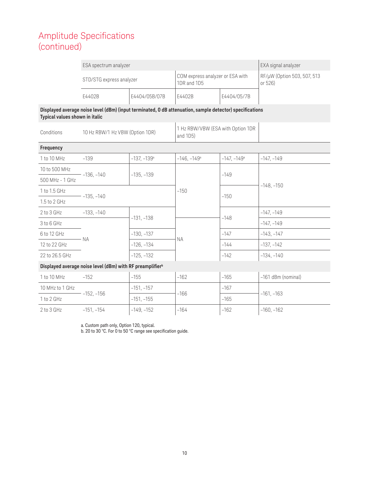|                                                                                                                                            | ESA spectrum analyzer           | EXA signal analyzer       |                                                 |                           |                                        |  |
|--------------------------------------------------------------------------------------------------------------------------------------------|---------------------------------|---------------------------|-------------------------------------------------|---------------------------|----------------------------------------|--|
|                                                                                                                                            | STD/STG express analyzer        |                           | COM express analyzer or ESA with<br>1DR and 1D5 |                           | RF/µW (Option 503, 507, 513<br>or 526) |  |
|                                                                                                                                            | E4402B                          | E4404/05B/07B             | E4402B                                          | E4404/05/7B               |                                        |  |
| Displayed average noise level (dBm) (input terminated, 0 dB attenuation, sample detector) specifications<br>Typical values shown in italic |                                 |                           |                                                 |                           |                                        |  |
| Conditions                                                                                                                                 | 10 Hz RBW/1 Hz VBW (Option 1DR) |                           | 1 Hz RBW/VBW (ESA with Option 1DR<br>and 1D5)   |                           |                                        |  |
| Frequency                                                                                                                                  |                                 |                           |                                                 |                           |                                        |  |
| 1 to 10 MHz                                                                                                                                | $-139$                          | $-137, -139$ <sup>a</sup> | $-146, -149$ <sup>a</sup>                       | $-147, -149$ <sup>a</sup> | $-147, -149$                           |  |
| 10 to 500 MHz                                                                                                                              | $-136, -140$                    |                           |                                                 | $-149$                    |                                        |  |
| 500 MHz - 1 GHz                                                                                                                            |                                 | $-135, -139$              |                                                 |                           | $-148, -150$                           |  |
| 1 to 1.5 GHz                                                                                                                               | $-135, -140$                    |                           | $-150$                                          | $-150$                    |                                        |  |
| 1.5 to 2 GHz                                                                                                                               |                                 |                           |                                                 |                           |                                        |  |
| 2 to 3 GHz                                                                                                                                 | $-133, -140$                    | $-131, -138$              | $-148$                                          |                           | $-147, -149$                           |  |
| 3 to 6 GHz                                                                                                                                 |                                 |                           |                                                 | $-147, -149$              |                                        |  |
| 6 to 12 GHz                                                                                                                                | <b>NA</b>                       | $-130, -137$              |                                                 | $-147$                    | $-143, -147$                           |  |
| 12 to 22 GHz                                                                                                                               |                                 | $-126, -134$              | <b>NA</b>                                       | $-144$                    | $-137, -142$                           |  |
| 22 to 26.5 GHz                                                                                                                             |                                 | $-125, -132$              |                                                 | $-142$                    | $-134, -140$                           |  |
| Displayed average noise level (dBm) with RF preamplifier <sup>b</sup>                                                                      |                                 |                           |                                                 |                           |                                        |  |
| 1 to 10 MHz                                                                                                                                | $-152$                          | $-155$                    | $-162$                                          | $-165$                    | -161 dBm (nominal)                     |  |
| 10 MHz to 1 GHz                                                                                                                            | $-152, -156$                    | $-151, -157$              | $-166$                                          | $-167$                    | $-161, -163$                           |  |
| 1 to 2 GHz                                                                                                                                 |                                 | $-151, -155$              |                                                 | $-165$                    |                                        |  |
| 2 to 3 GHz                                                                                                                                 | $-151, -154$                    | $-149, -152$              | $-164$                                          | $-162$                    | $-160, -162$                           |  |

a. Custom path only, Option 120, typical.

b. 20 to 30 °C. For 0 to 50 °C range see specification guide.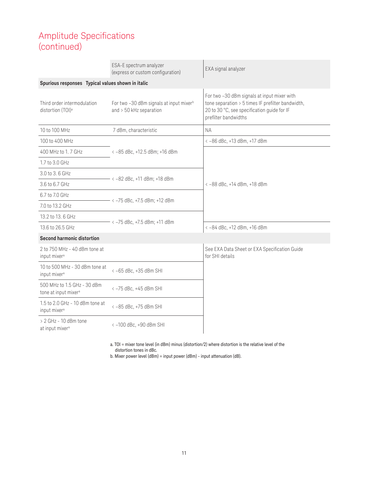|                                                                 | ESA-E spectrum analyzer<br>(express or custom configuration)                     | EXA signal analyzer                                                                                                                                                     |  |  |
|-----------------------------------------------------------------|----------------------------------------------------------------------------------|-------------------------------------------------------------------------------------------------------------------------------------------------------------------------|--|--|
| Spurious responses Typical values shown in italic               |                                                                                  |                                                                                                                                                                         |  |  |
| Third order intermodulation<br>distortion (TOI) <sup>a</sup>    | For two -30 dBm signals at input mixer <sup>b</sup><br>and $>$ 50 kHz separation | For two -30 dBm signals at input mixer with<br>tone separation > 5 times IF prefilter bandwidth,<br>20 to 30 °C, see specification guide for IF<br>prefilter bandwidths |  |  |
| 10 to 100 MHz                                                   | 7 dBm, characteristic                                                            | <b>NA</b>                                                                                                                                                               |  |  |
| 100 to 400 MHz                                                  |                                                                                  | <-86 dBc, +13 dBm, +17 dBm                                                                                                                                              |  |  |
| 400 MHz to 1.7 GHz                                              | < -85 dBc, +12.5 dBm; +16 dBm                                                    |                                                                                                                                                                         |  |  |
| 1.7 to 3.0 GHz                                                  |                                                                                  |                                                                                                                                                                         |  |  |
| 3.0 to 3.6 GHz                                                  |                                                                                  |                                                                                                                                                                         |  |  |
| 3.6 to 6.7 GHz                                                  | $\langle -82$ dBc, +11 dBm; +18 dBm                                              | <-88 dBc, +14 dBm, +18 dBm                                                                                                                                              |  |  |
| 6.7 to 7.0 GHz                                                  |                                                                                  |                                                                                                                                                                         |  |  |
| 7.0 to 13.2 GHz                                                 | - < -75 dBc, +7.5 dBm; +12 dBm                                                   |                                                                                                                                                                         |  |  |
| 13.2 to 13.6 GHz                                                |                                                                                  |                                                                                                                                                                         |  |  |
| 13.6 to 26.5 GHz                                                | - < -75 dBc, +7.5 dBm; +11 dBm                                                   | <-84 dBc, +12 dBm, +16 dBm                                                                                                                                              |  |  |
| <b>Second harmonic distortion</b>                               |                                                                                  |                                                                                                                                                                         |  |  |
| 2 to 750 MHz - 40 dBm tone at<br>input mixer <sup>a</sup>       |                                                                                  | See EXA Data Sheet or EXA Specification Guide<br>for SHI details                                                                                                        |  |  |
| 10 to 500 MHz - 30 dBm tone at<br>input mixer <sup>a</sup>      | <- 65 dBc, +35 dBm SHI                                                           |                                                                                                                                                                         |  |  |
| 500 MHz to 1.5 GHz - 30 dBm<br>tone at input mixer <sup>a</sup> | < -75 dBc, +45 dBm SHI                                                           |                                                                                                                                                                         |  |  |
| 1.5 to 2.0 GHz - 10 dBm tone at<br>input mixer <sup>a</sup>     | <-85 dBc, +75 dBm SHI                                                            |                                                                                                                                                                         |  |  |
| $> 2$ GHz - 10 dBm tone<br>at input mixer <sup>a</sup>          | <- 100 dBc, +90 dBm SHI                                                          |                                                                                                                                                                         |  |  |

a. TOI = mixer tone level (in dBm) minus (distortion/2) where distortion is the relative level of the distortion tones in dBc.

b. Mixer power level (dBm) = input power (dBm) - input attenuation (dB).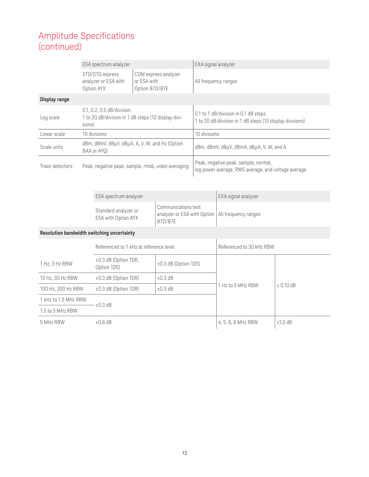|                                                                       | ESA spectrum analyzer |                                                                                            |                                                                                             | EXA signal analyzer                                           |                                                                                                  |                      |               |
|-----------------------------------------------------------------------|-----------------------|--------------------------------------------------------------------------------------------|---------------------------------------------------------------------------------------------|---------------------------------------------------------------|--------------------------------------------------------------------------------------------------|----------------------|---------------|
|                                                                       |                       | STD/STG express<br>analyzer or ESA with<br>Option AYX                                      | or ESA with<br>Option B7D/B7E                                                               | COM express analyzer                                          |                                                                                                  | All frequency ranges |               |
| Display range                                                         |                       |                                                                                            |                                                                                             |                                                               |                                                                                                  |                      |               |
| Log scale                                                             |                       | 0.1, 0.2, 0.5 dB/division<br>1 to 20 dB/division in 1 dB steps (10 display divi-<br>sions) |                                                                                             |                                                               | 0.1 to 1 dB/division in 0.1 dB steps<br>1 to 20 dB/division in 1 dB steps (10 display divisions) |                      |               |
| Linear scale                                                          |                       | 10 divisions                                                                               |                                                                                             |                                                               | 10 divisions                                                                                     |                      |               |
| Scale units                                                           |                       | dBm, dBmV, dBµV, dBµA, A, V, W, and Hz (Option<br>BAA or AYQ)                              |                                                                                             |                                                               | dBm, dBmV, dBµV, dBmA, dBµA, V, W, and A                                                         |                      |               |
| Trace detectors<br>Peak, negative peak, sample, rmsb, video averaging |                       |                                                                                            | Peak, negative peak, sample, normal,<br>log power average, RMS average, and voltage average |                                                               |                                                                                                  |                      |               |
|                                                                       |                       | ESA spectrum analyzer                                                                      |                                                                                             |                                                               |                                                                                                  | EXA signal analyzer  |               |
|                                                                       |                       | Standard analyzer or<br>ESA with Option AYX                                                |                                                                                             | Communications test<br>analyzer or ESA with Option<br>B7D/B7E |                                                                                                  | All frequency ranges |               |
| Resolution bandwidth switching uncertainty                            |                       |                                                                                            |                                                                                             |                                                               |                                                                                                  |                      |               |
|                                                                       |                       | Referenced to 1 kHz at reference level                                                     |                                                                                             | Referenced to 30 kHz RBW                                      |                                                                                                  |                      |               |
| 1 Hz, 3 Hz RBW                                                        |                       | ±0.3 dB (Option 1DR,<br>Option 1D5)                                                        |                                                                                             | ±0.3 dB (Option 1D5)                                          |                                                                                                  |                      |               |
| 10 Hz, 30 Hz RBW                                                      |                       | ±0.3 dB (Option 1DR)                                                                       |                                                                                             | ±0.3dB                                                        |                                                                                                  |                      |               |
| 100 Hz, 300 Hz RBW                                                    |                       | ±0.3 dB (Option 1DR)                                                                       |                                                                                             | $\pm 0.3$ dB                                                  |                                                                                                  | 1 Hz to 3 MHz RBW    | $\pm$ 0.10 dB |
| 1 kHz to 1.5 MHz RBW                                                  |                       |                                                                                            |                                                                                             |                                                               |                                                                                                  |                      |               |
| 1.5 to 3 MHz RBW                                                      | ±0.3dB                |                                                                                            |                                                                                             |                                                               |                                                                                                  |                      |               |
| 5 MHz RBW                                                             |                       | $±0.6$ dB                                                                                  |                                                                                             |                                                               |                                                                                                  | 4, 5, 6, 8 MHz RBW   | $±1.0$ dB     |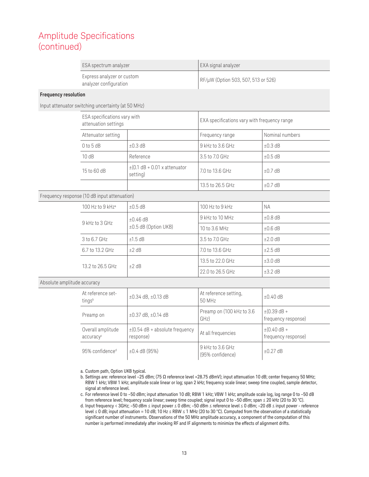| ESA spectrum analyzer                                | EXA signal analyzer                 |
|------------------------------------------------------|-------------------------------------|
| Express analyzer or custom<br>analyzer configuration | RF/µW (Option 503, 507, 513 or 526) |

#### **Frequency resolution**

Input attenuator switching uncertainty (at 50 MHz)

| ESA specifications vary with<br>attenuation settings |                                               | EXA specifications vary with frequency range |                 |  |
|------------------------------------------------------|-----------------------------------------------|----------------------------------------------|-----------------|--|
| Attenuator setting                                   |                                               | Frequency range                              | Nominal numbers |  |
| $0$ to 5 dB                                          | $\pm 0.3$ dB                                  | 9 kHz to 3.6 GHz                             | $\pm 0.3$ dB    |  |
| 10dB                                                 | Reference                                     | 3.5 to 7.0 GHz                               | $\pm 0.5$ dB    |  |
| 15 to 60 dB                                          | $\pm$ (0.1 dB + 0.01 x attenuator<br>setting) | 7.0 to 13.6 GHz                              | $\pm 0.7$ dB    |  |
|                                                      |                                               | 13.5 to 26.5 GHz                             | $\pm 0.7$ dB    |  |

#### Frequency response (10 dB input attenuation)

| 100 Hz to 9 kHz <sup>a</sup><br>$9$ kHz to $3$ GHz | $\pm 0.5$ dB                          | 100 Hz to 9 kHz  | NА             |         |
|----------------------------------------------------|---------------------------------------|------------------|----------------|---------|
|                                                    | $\pm 0.46$ dB<br>±0.5 dB (Option UKB) | 9 kHz to 10 MHz  | $\pm 0.8$ dB   |         |
|                                                    |                                       | 10 to 3.6 MHz    | $\pm 0.6$ dB   |         |
|                                                    | 3 to 6.7 GHz                          | ±1.5dB           | 3.5 to 7.0 GHz | ±2.0 dB |
| 6.7 to 13.2 GHz                                    | $±2$ dB                               | 7.0 to 13.6 GHz  | $\pm 2.5$ dB   |         |
| 13.2 to 26.5 GHz                                   | $±2$ dB                               | 13.5 to 22.0 GHz | $\pm 3.0$ dB   |         |
|                                                    |                                       | 22.0 to 26.5 GHz | ±3.2 dB        |         |

#### Absolute amplitude accuracy

| At reference set-<br>tingsb    | $\pm 0.34$ dB, $\pm 0.13$ dB                     | At reference setting,<br>50 MHz      | $\pm 0.40$ dB                                   |
|--------------------------------|--------------------------------------------------|--------------------------------------|-------------------------------------------------|
| Preamp on                      | $\pm 0.37$ dB, $\pm 0.14$ dB                     | Preamp on (100 kHz to 3.6<br>GHZ)    | $\pm (0.39 \text{ dB} +$<br>frequency response) |
| Overall amplitude<br>accuracyc | $\pm$ (0.54 dB + absolute frequency<br>response) | At all frequencies                   | $\pm (0.40 \text{ dB} +$<br>frequency response) |
| 95% confidence <sup>d</sup>    | $\pm 0.4$ dB (95%)                               | 9 kHz to 3.6 GHz<br>(95% confidence) | $\pm 0.27$ dB                                   |

a. Custom path, Option UKB typical.

b. Settings are: reference level –25 dBm; (75 Ω reference level +28.75 dBmV); input attenuation 10 dB; center frequency 50 MHz; RBW 1 kHz; VBW 1 kHz; amplitude scale linear or log; span 2 kHz; frequency scale linear; sweep time coupled, sample detector, signal at reference level.

c. For reference level 0 to –50 dBm; input attenuation 10 dB; RBW 1 kHz; VBW 1 kHz; amplitude scale log, log range 0 to –50 dB from reference level; frequency scale linear; sweep time coupled; signal input 0 to –50 dBm; span ≤ 20 kHz (20 to 30 °C).

d. Input frequency < 3GHz; –50 dBm ≤ input power ≤ 0 dBm; –50 dBm ≤ reference level ≤ 0 dBm; –20 dB ≤ input power - reference level ≤ 0 dB; input attenuation = 10 dB; 10 Hz ≤ RBW ≤ 1 MHz (20 to 30 °C). Computed from the observation of a statistically significant number of instruments. Observations of the 50 MHz amplitude accuracy, a component of the computation of this number is performed immediately after invoking RF and IF alignments to minimize the effects of alignment drifts.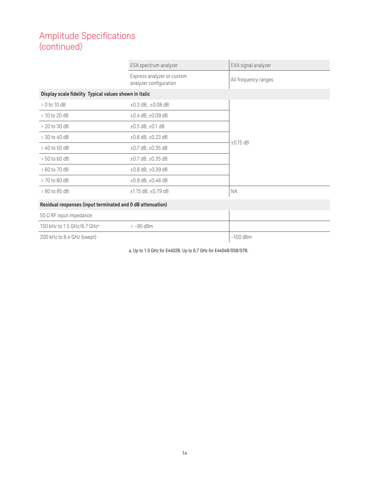|                                                            | ESA spectrum analyzer                                | EXA signal analyzer  |
|------------------------------------------------------------|------------------------------------------------------|----------------------|
|                                                            | Express analyzer or custom<br>analyzer configuration | All frequency ranges |
| Display scale fidelity Typical values shown in italic      |                                                      |                      |
| $> 0$ to 10 dB                                             | $\pm 0.3$ dB, $\pm 0.08$ dB                          |                      |
| $>10$ to 20 dB                                             | $\pm 0.4$ dB, $\pm 0.09$ dB                          |                      |
| $> 20$ to 30 dB                                            | $\pm 0.5$ dB, $\pm 0.1$ dB                           |                      |
| > 30 to 40 dB                                              | $\pm 0.6$ dB, $\pm 0.23$ dB                          | $\pm 0.15$ dB        |
| > 40 to 50 dB                                              | $\pm 0.7$ dB, $\pm 0.35$ dB                          |                      |
| $> 50$ to 60 dB                                            | $\pm 0.7$ dB, $\pm 0.35$ dB                          |                      |
| > 60 to 70 dB                                              | $\pm 0.8$ dB, $\pm 0.39$ dB                          |                      |
| > 70 to 80 dB                                              | $\pm 0.8$ dB, $\pm 0.46$ dB                          |                      |
| > 80 to 85 dB                                              | $±1.15$ dB, $±0.79$ dB                               | <b>NA</b>            |
| Residual responses (input terminated and 0 dB attenuation) |                                                      |                      |
| $50 \Omega$ RF input impedance                             |                                                      |                      |
| 150 kHz to 1.5 GHz/6.7 GHz <sup>a</sup>                    | $\langle -90$ dBm                                    |                      |

200 kHz to 8.4 GHz (swept) –100 dBm

a. Up to 1.5 GHz for E4402B. Up to 6.7 GHz for E4404B/05B/07B.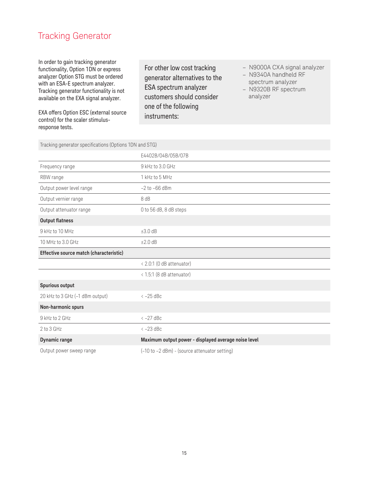### Tracking Generator

In order to gain tracking generator functionality, Option 1DN or express analyzer Option STG must be ordered with an ESA-E spectrum analyzer. Tracking generator functionality is not available on the EXA signal analyzer.

EXA offers Option ESC (external source control) for the scaler stimulusresponse tests.

For other low cost tracking generator alternatives to the ESA spectrum analyzer customers should consider one of the following instruments:

- N9000A CXA signal analyzer
- N9340A handheld RF
- spectrum analyzer
- N9320B RF spectrum analyzer

Tracking generator specifications (Options 1DN and STG)

|                                         | E4402B/04B/05B/07B                                   |
|-----------------------------------------|------------------------------------------------------|
| Frequency range                         | 9 kHz to 3.0 GHz                                     |
| RBW range                               | 1 kHz to 5 MHz                                       |
| Output power level range                | $-2$ to $-66$ dBm                                    |
| Output vernier range                    | 8 dB                                                 |
| Output attenuator range                 | 0 to 56 dB, 8 dB steps                               |
| <b>Output flatness</b>                  |                                                      |
| 9 kHz to 10 MHz                         | ±3.0dB                                               |
| 10 MHz to 3.0 GHz                       | ±2.0dB                                               |
| Effective source match (characteristic) |                                                      |
|                                         | < 2.0:1 (0 dB attenuator)                            |
|                                         | < 1.5:1 (8 dB attenuator)                            |
| Spurious output                         |                                                      |
| 20 kHz to 3 GHz (-1 dBm output)         | $<-25$ dBc                                           |
| Non-harmonic spurs                      |                                                      |
| 9 kHz to 2 GHz                          | $<-27$ dBc                                           |
| $2$ to $3$ GHz                          | $<-23$ dBc                                           |
| <b>Dynamic range</b>                    | Maximum output power - displayed average noise level |
| Output power sweep range                | (-10 to -2 dBm) - (source attenuator setting)        |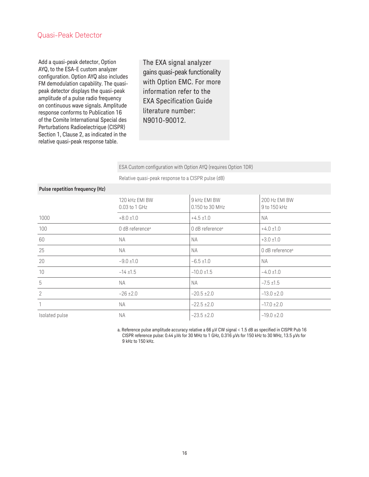#### Quasi-Peak Detector

Add a quasi-peak detector, Option AYQ, to the ESA-E custom analyzer configuration. Option AYQ also includes FM demodulation capability. The quasipeak detector displays the quasi-peak amplitude of a pulse radio frequency on continuous wave signals. Amplitude response conforms to Publication 16 of the Comite International Special des Perturbations Radioelectrique (CISPR) Section 1, Clause 2, as indicated in the relative quasi-peak response table.

The EXA signal analyzer gains quasi-peak functionality with Option EMC. For more information refer to the EXA Specification Guide literature number: N9010-90012.

ESA Custom configuration with Option AYQ (requires Option 1DR)

Relative quasi-peak response to a CISPR pulse (dB)

| Pulse repetition frequency (Hz) |                                 |                                 |                               |
|---------------------------------|---------------------------------|---------------------------------|-------------------------------|
|                                 | 120 kHz EMI BW<br>0.03 to 1 GHz | 9 kHz EMI BW<br>0.150 to 30 MHz | 200 Hz EMI BW<br>9 to 150 kHz |
| 1000                            | $+8.0 \pm 1.0$                  | $+4.5 \pm 1.0$                  | <b>NA</b>                     |
| 100                             | 0 dB reference <sup>a</sup>     | 0 dB reference <sup>a</sup>     | $+4.0 \pm 1.0$                |
| 60                              | <b>NA</b>                       | <b>NA</b>                       | $+3.0 \pm 1.0$                |
| 25                              | <b>NA</b>                       | <b>NA</b>                       | 0 dB reference <sup>a</sup>   |
| 20                              | $-9.0 \pm 1.0$                  | $-6.5 \pm 1.0$                  | NA.                           |
| 10                              | $-14 + 1.5$                     | $-10.0 \pm 1.5$                 | $-4.0 \pm 1.0$                |
| 5                               | <b>NA</b>                       | <b>NA</b>                       | $-7.5 \pm 1.5$                |
| $\overline{2}$                  | $-26 \pm 2.0$                   | $-20.5 \pm 2.0$                 | $-13.0 \pm 2.0$               |
| 1                               | <b>NA</b>                       | $-22.5 \pm 2.0$                 | $-17.0 \pm 2.0$               |
| Isolated pulse                  | NA.                             | $-23.5 \pm 2.0$                 | $-19.0 \pm 2.0$               |

a. Reference pulse amplitude accuracy relative a 66 μV CW signal < 1.5 dB as specified in CISPR Pub 16 CISPR reference pulse: 0.44 μVs for 30 MHz to 1 GHz, 0.316 μVs for 150 kHz to 30 MHz, 13.5 μVs for 9 kHz to 150 kHz.

#### **Pulse repetition frequency (Hz)**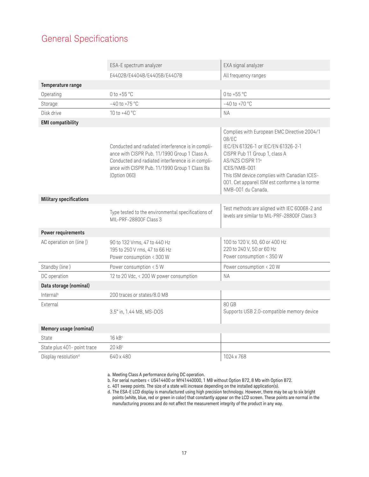# General Specifications

|                                 | ESA-E spectrum analyzer                                                                                                                                                                                                  | EXA signal analyzer                                                                                                                                                                                                                                                                                |
|---------------------------------|--------------------------------------------------------------------------------------------------------------------------------------------------------------------------------------------------------------------------|----------------------------------------------------------------------------------------------------------------------------------------------------------------------------------------------------------------------------------------------------------------------------------------------------|
|                                 | E4402B/E4404B/E4405B/E4407B                                                                                                                                                                                              | All frequency ranges                                                                                                                                                                                                                                                                               |
| Temperature range               |                                                                                                                                                                                                                          |                                                                                                                                                                                                                                                                                                    |
| Operating                       | 0 to +55 $^{\circ}$ C                                                                                                                                                                                                    | 0 to +55 $^{\circ}$ C                                                                                                                                                                                                                                                                              |
| Storage                         | $-40$ to $+75$ °C                                                                                                                                                                                                        | $-40$ to $+70$ °C                                                                                                                                                                                                                                                                                  |
| Disk drive                      | 10 to $+40 °C$                                                                                                                                                                                                           | <b>NA</b>                                                                                                                                                                                                                                                                                          |
| <b>EMI</b> compatibility        |                                                                                                                                                                                                                          |                                                                                                                                                                                                                                                                                                    |
|                                 | Conducted and radiated interference is in compli-<br>ance with CISPR Pub. 11/1990 Group 1 Class A.<br>Conducted and radiated interference is in compli-<br>ance with CISPR Pub. 11/1990 Group 1 Class Ba<br>(Option 060) | Complies with European EMC Directive 2004/1<br>08/EC<br>IEC/EN 61326-1 or IEC/EN 61326-2-1<br>CISPR Pub 11 Group 1, class A<br>AS/NZS CISPR 11 <sup>a</sup><br>ICES/NMB-001<br>This ISM device complies with Canadian ICES-<br>001. Cet appareil ISM est conforme a la norme<br>NMB-001 du Canada. |
| <b>Military specifications</b>  |                                                                                                                                                                                                                          |                                                                                                                                                                                                                                                                                                    |
|                                 | Type tested to the environmental specifications of<br>MIL-PRF-28800F Class 3                                                                                                                                             | Test methods are aligned with IEC 60068-2 and<br>levels are similar to MIL-PRF-28800F Class 3                                                                                                                                                                                                      |
| <b>Power requirements</b>       |                                                                                                                                                                                                                          |                                                                                                                                                                                                                                                                                                    |
| AC operation on (line  )        | 90 to 132 Vrms, 47 to 440 Hz<br>195 to 250 V rms, 47 to 66 Hz<br>Power consumption < 300 W                                                                                                                               | 100 to 120 V, 50, 60 or 400 Hz<br>220 to 240 V, 50 or 60 Hz<br>Power consumption < 350 W                                                                                                                                                                                                           |
| Standby (line)                  | Power consumption < 5 W                                                                                                                                                                                                  | Power consumption < 20 W                                                                                                                                                                                                                                                                           |
| DC operation                    | 12 to 20 Vdc, < 200 W power consumption                                                                                                                                                                                  | <b>NA</b>                                                                                                                                                                                                                                                                                          |
| Data storage (nominal)          |                                                                                                                                                                                                                          |                                                                                                                                                                                                                                                                                                    |
| Internal <sup>b</sup>           | 200 traces or states/8.0 MB                                                                                                                                                                                              |                                                                                                                                                                                                                                                                                                    |
| External                        | 3.5" in, 1.44 MB, MS-DOS                                                                                                                                                                                                 | 80 GB<br>Supports USB 2.0-compatible memory device                                                                                                                                                                                                                                                 |
| Memory usage (nominal)          |                                                                                                                                                                                                                          |                                                                                                                                                                                                                                                                                                    |
| State                           | 16 kB <sup>c</sup>                                                                                                                                                                                                       |                                                                                                                                                                                                                                                                                                    |
| State plus 401- point trace     | 20 kB <sup>c</sup>                                                                                                                                                                                                       |                                                                                                                                                                                                                                                                                                    |
| Display resolution <sup>d</sup> | 640 x 480                                                                                                                                                                                                                | 1024 x 768                                                                                                                                                                                                                                                                                         |

a. Meeting Class A performance during DC operation.

b. For serial numbers < US414400 or MY41440000, 1 MB without Option B72, 8 Mb with Option B72.

c. 401 sweep points. The size of a state will increase depending on the installed application(s).

d. The ESA-E LCD display is manufactured using high precision technology. However, there may be up to six bright points (white, blue, red or green in color) that constantly appear on the LCD screen. These points are normal in the manufacturing process and do not affect the measurement integrity of the product in any way.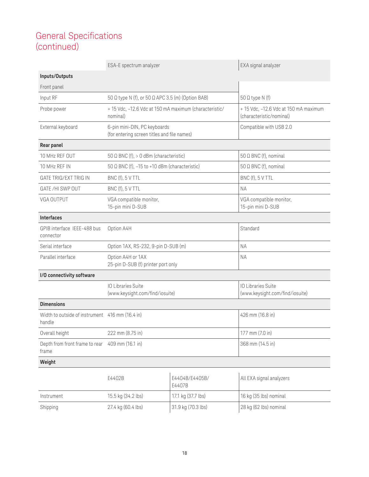# General Specifications (continued)

|                                                           | ESA-E spectrum analyzer                                                     |                          | EXA signal analyzer                                              |
|-----------------------------------------------------------|-----------------------------------------------------------------------------|--------------------------|------------------------------------------------------------------|
| Inputs/Outputs                                            |                                                                             |                          |                                                                  |
| Front panel                                               |                                                                             |                          |                                                                  |
| Input RF                                                  | 50 Ω type N (f), or 50 Ω APC 3.5 (m) (Option BAB)                           |                          | $50 \Omega$ type N (f)                                           |
| Probe power                                               | + 15 Vdc, -12.6 Vdc at 150 mA maximum (characteristic/<br>nominal)          |                          | +15 Vdc, -12.6 Vdc at 150 mA maximum<br>(characteristic/nominal) |
| External keyboard                                         | 6-pin mini-DIN, PC keyboards<br>(for entering screen titles and file names) |                          | Compatible with USB 2.0                                          |
| Rear panel                                                |                                                                             |                          |                                                                  |
| 10 MHz REF OUT                                            | 50 $\Omega$ BNC (f), $> 0$ dBm (characteristic)                             |                          | $50 \Omega$ BNC (f), nominal                                     |
| 10 MHz REF IN                                             | 50 $\Omega$ BNC (f), -15 to +10 dBm (characteristic)                        |                          | $50 \Omega$ BNC (f), nominal                                     |
| GATE TRIG/EXT TRIG IN                                     | BNC (f), 5 V TTL                                                            |                          | BNC (f), 5 V TTL                                                 |
| GATE/HI SWP OUT                                           | BNC (f), 5 V TTL                                                            |                          | <b>NA</b>                                                        |
| VGA OUTPUT                                                | VGA compatible monitor,<br>15-pin mini D-SUB                                |                          | VGA compatible monitor,<br>15-pin mini D-SUB                     |
| <b>Interfaces</b>                                         |                                                                             |                          |                                                                  |
| GPIB interface IEEE-488 bus<br>connector                  | Option A4H                                                                  |                          | Standard                                                         |
| Serial interface                                          | Option 1AX, RS-232, 9-pin D-SUB (m)                                         |                          | <b>NA</b>                                                        |
| Parallel interface                                        | Option A4H or 1AX<br>25-pin D-SUB (f) printer port only                     |                          | <b>NA</b>                                                        |
| I/O connectivity software                                 |                                                                             |                          |                                                                  |
|                                                           | <b>IO Libraries Suite</b><br>(www.keysight.com/find/iosuite)                |                          | IO Libraries Suite<br>(www.keysight.com/find/iosuite)            |
| <b>Dimensions</b>                                         |                                                                             |                          |                                                                  |
| Width to outside of instrument 416 mm (16.4 in)<br>handle |                                                                             |                          | 426 mm (16.8 in)                                                 |
| Overall height                                            | 222 mm (8.75 in)                                                            |                          | 177 mm (7.0 in)                                                  |
| Depth from front frame to rear<br>frame                   | 409 mm (16.1 in)                                                            |                          | 368 mm (14.5 in)                                                 |
| Weight                                                    |                                                                             |                          |                                                                  |
|                                                           | E4402B                                                                      | E4404B/E4405B/<br>E4407B | All EXA signal analyzers                                         |
| Instrument                                                | 15.5 kg (34.2 lbs)                                                          | 17.1 kg (37.7 lbs)       | 16 kg (35 lbs) nominal                                           |
| Shipping                                                  | 27.4 kg (60.4 lbs)                                                          | 31.9 kg (70.3 lbs)       | 28 kg (62 lbs) nominal                                           |